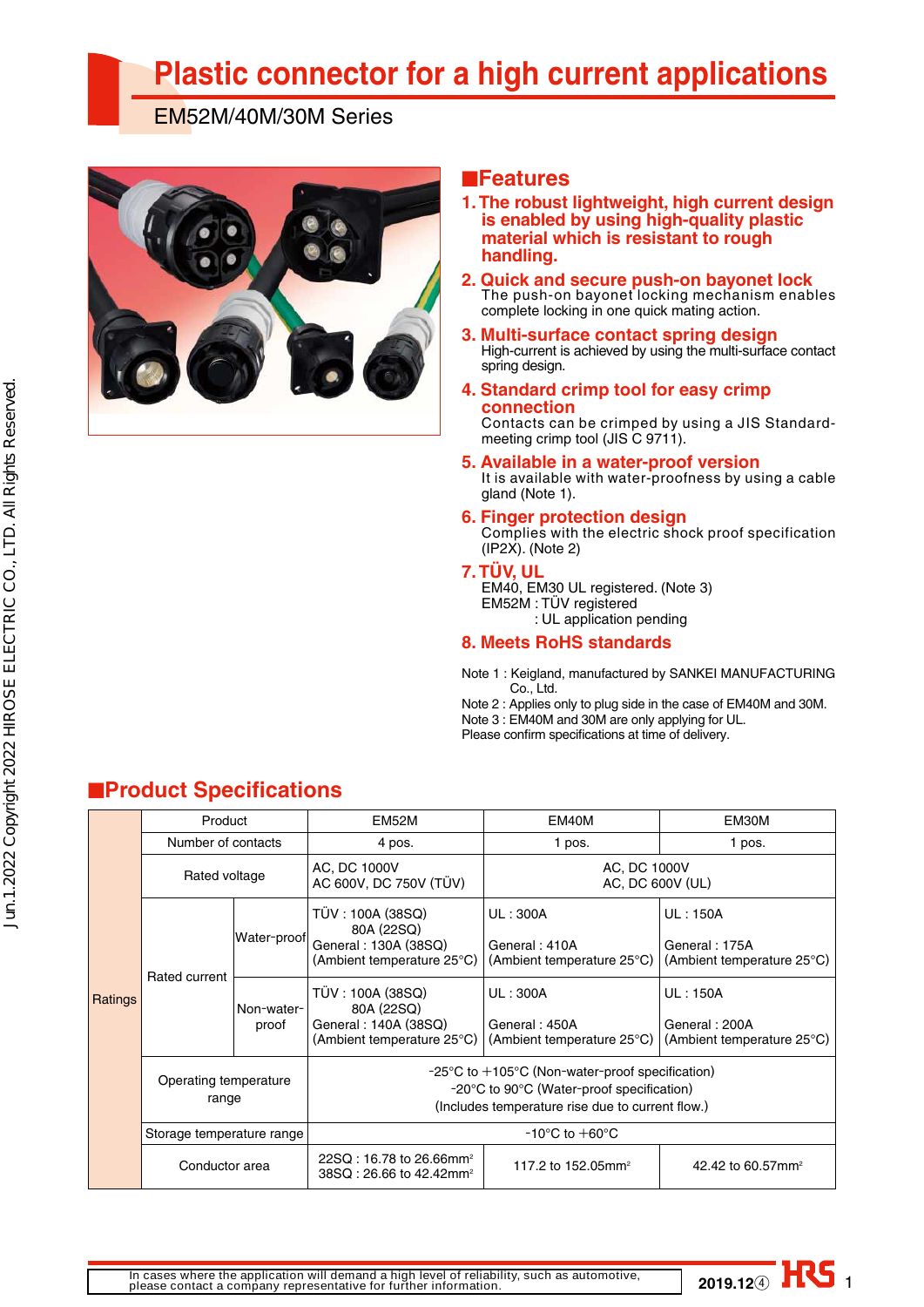# **Plastic connector for a high current applications**

EM52M/40M/30M Series



## ■**Features**

- **1. The robust lightweight, high current design is enabled by using high-quality plastic material which is resistant to rough handling.**
- **2. Quick and secure push-on bayonet lock** The push-on bayonet locking mechanism enables complete locking in one quick mating action.
- **3. Multi-surface contact spring design** High-current is achieved by using the multi-surface contact spring design.
- **4. Standard crimp tool for easy crimp connection**

Contacts can be crimped by using a JIS Standardmeeting crimp tool (JIS C 9711).

- **5. Available in a water-proof version** It is available with water-proofness by using a cable gland (Note 1).
- **6. Finger protection design** Complies with the electric shock proof specification (IP2X). (Note 2)
- **7. TÜV, UL**

EM40, EM30 UL registered. (Note 3) EM52M : TÜV registered : UL application pending

#### **8. Meets RoHS standards**

Note 1 : Keigland, manufactured by SANKEI MANUFACTURING Co., Ltd.

Note 2 : Applies only to plug side in the case of EM40M and 30M. Note 3 : EM40M and 30M are only applying for UL.

Please confirm specifications at time of delivery.

|         | Product                        |                     | EM52M                                                                                                                                                                | EM40M                                                   | EM30M                                                          |  |  |  |
|---------|--------------------------------|---------------------|----------------------------------------------------------------------------------------------------------------------------------------------------------------------|---------------------------------------------------------|----------------------------------------------------------------|--|--|--|
| Ratings | Number of contacts             |                     | 4 pos.                                                                                                                                                               | 1 pos.                                                  | 1 pos.                                                         |  |  |  |
|         | Rated voltage                  |                     | AC, DC 1000V<br>AC 600V, DC 750V (TÜV)                                                                                                                               | AC, DC 1000V<br>AC, DC 600V (UL)                        |                                                                |  |  |  |
|         |                                | Water-proof         | TÜV : 100A (38SQ)<br>80A (22SQ)<br>General: 130A (38SQ)<br>(Ambient temperature 25°C)                                                                                | UL: 300A<br>General: 410A<br>(Ambient temperature 25°C) | <b>UL: 150A</b><br>General: 175A<br>(Ambient temperature 25°C) |  |  |  |
|         | Rated current                  | Non-water-<br>proof | TÜV : 100A (38SQ)<br>80A (22SQ)<br>General: 140A (38SQ)<br>(Ambient temperature 25°C)                                                                                | UL: 300A<br>General: 450A<br>(Ambient temperature 25°C) | <b>UL: 150A</b><br>General: 200A<br>(Ambient temperature 25°C) |  |  |  |
|         | Operating temperature<br>range |                     | $-25^{\circ}$ C to $+105^{\circ}$ C (Non-water-proof specification)<br>-20°C to 90°C (Water-proof specification)<br>(Includes temperature rise due to current flow.) |                                                         |                                                                |  |  |  |
|         | Storage temperature range      |                     | $-10^{\circ}$ C to $+60^{\circ}$ C                                                                                                                                   |                                                         |                                                                |  |  |  |
|         | Conductor area                 |                     | $22SQ: 16.78$ to 26.66mm <sup>2</sup><br>38SQ: 26.66 to 42.42mm <sup>2</sup>                                                                                         | 117.2 to 152.05mm <sup>2</sup>                          | 42.42 to 60.57mm <sup>2</sup>                                  |  |  |  |

# ■**Product Specifications**

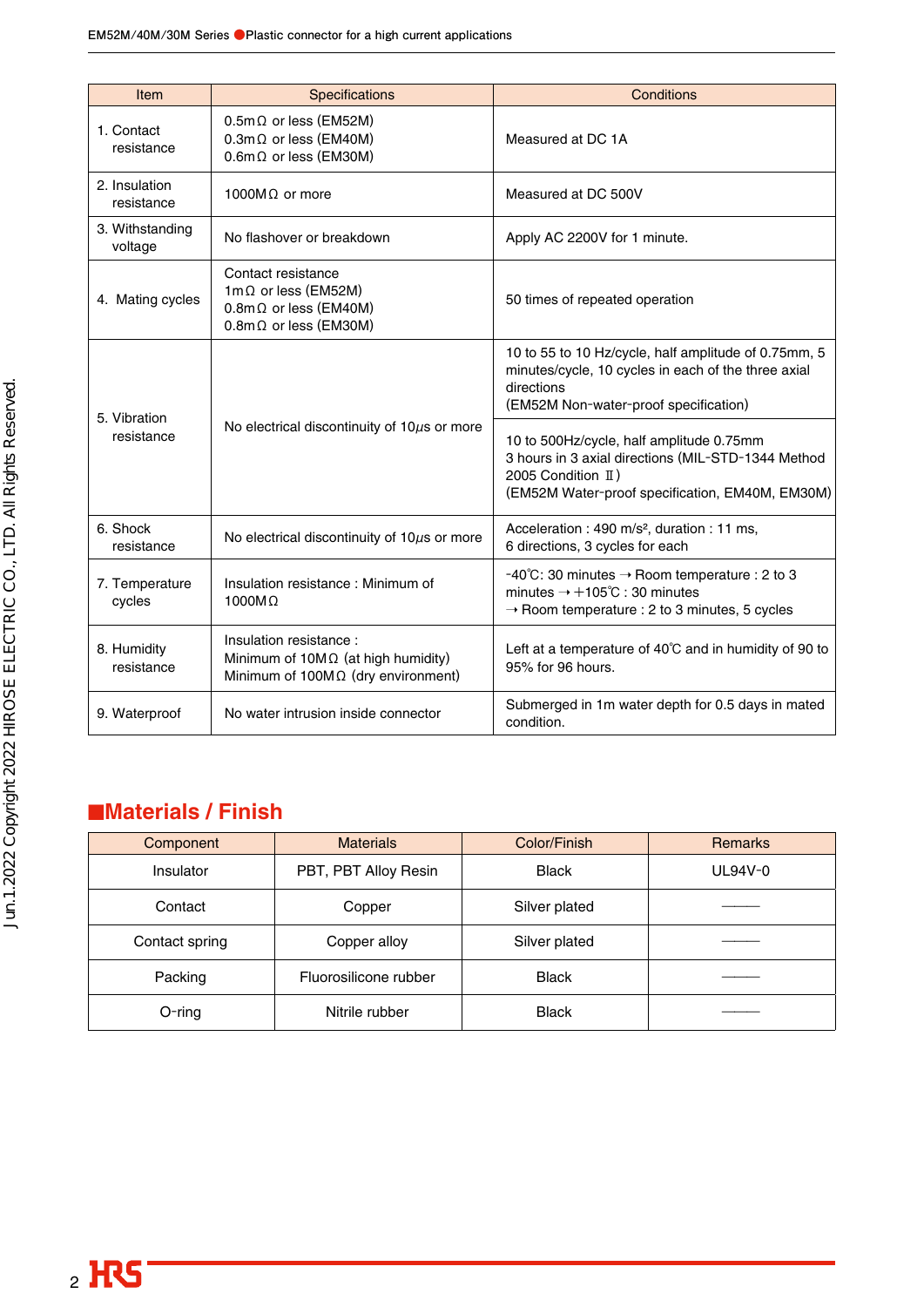| Item                        | Specifications                                                                                                            | Conditions                                                                                                                                                                  |
|-----------------------------|---------------------------------------------------------------------------------------------------------------------------|-----------------------------------------------------------------------------------------------------------------------------------------------------------------------------|
| 1. Contact<br>resistance    | $0.5m\Omega$ or less (EM52M)<br>$0.3$ m $\Omega$ or less (EM40M)<br>$0.6$ m $\Omega$ or less (EM30M)                      | Measured at DC 1A                                                                                                                                                           |
| 2. Insulation<br>resistance | 1000M $\Omega$ or more                                                                                                    | Measured at DC 500V                                                                                                                                                         |
| 3. Withstanding<br>voltage  | No flashover or breakdown                                                                                                 | Apply AC 2200V for 1 minute.                                                                                                                                                |
| 4. Mating cycles            | Contact resistance<br>1m $\Omega$ or less (EM52M)<br>$0.8$ m $\Omega$ or less (EM40M)<br>$0.8$ m $\Omega$ or less (EM30M) | 50 times of repeated operation                                                                                                                                              |
| 5. Vibration                |                                                                                                                           | 10 to 55 to 10 Hz/cycle, half amplitude of 0.75mm, 5<br>minutes/cycle, 10 cycles in each of the three axial<br>directions<br>(EM52M Non-water-proof specification)          |
| resistance                  | No electrical discontinuity of $10\mu s$ or more                                                                          | 10 to 500Hz/cycle, half amplitude 0.75mm<br>3 hours in 3 axial directions (MIL-STD-1344 Method<br>2005 Condition II)<br>(EM52M Water-proof specification, EM40M, EM30M)     |
| 6. Shock<br>resistance      | No electrical discontinuity of $10\mu s$ or more                                                                          | Acceleration : 490 m/s <sup>2</sup> , duration : 11 ms,<br>6 directions, 3 cycles for each                                                                                  |
| 7. Temperature<br>cycles    | Insulation resistance: Minimum of<br>$1000M\Omega$                                                                        | -40°C: 30 minutes $\rightarrow$ Room temperature : 2 to 3<br>minutes $\rightarrow +105^{\circ}$ C : 30 minutes<br>$\rightarrow$ Room temperature : 2 to 3 minutes, 5 cycles |
| 8. Humidity<br>resistance   | Insulation resistance:<br>Minimum of $10M\Omega$ (at high humidity)<br>Minimum of $100M\Omega$ (dry environment)          | Left at a temperature of 40°C and in humidity of 90 to<br>95% for 96 hours.                                                                                                 |
| 9. Waterproof               | No water intrusion inside connector                                                                                       | Submerged in 1m water depth for 0.5 days in mated<br>condition.                                                                                                             |

# ■**Materials / Finish**

| Component                   | <b>Materials</b>      | Color/Finish  | <b>Remarks</b> |
|-----------------------------|-----------------------|---------------|----------------|
| Insulator                   | PBT, PBT Alloy Resin  | <b>Black</b>  | $UL94V-0$      |
| Contact                     | Copper                | Silver plated |                |
| Contact spring              | Copper alloy          |               |                |
| Packing                     | Fluorosilicone rubber | <b>Black</b>  |                |
| $O$ -ring<br>Nitrile rubber |                       | <b>Black</b>  |                |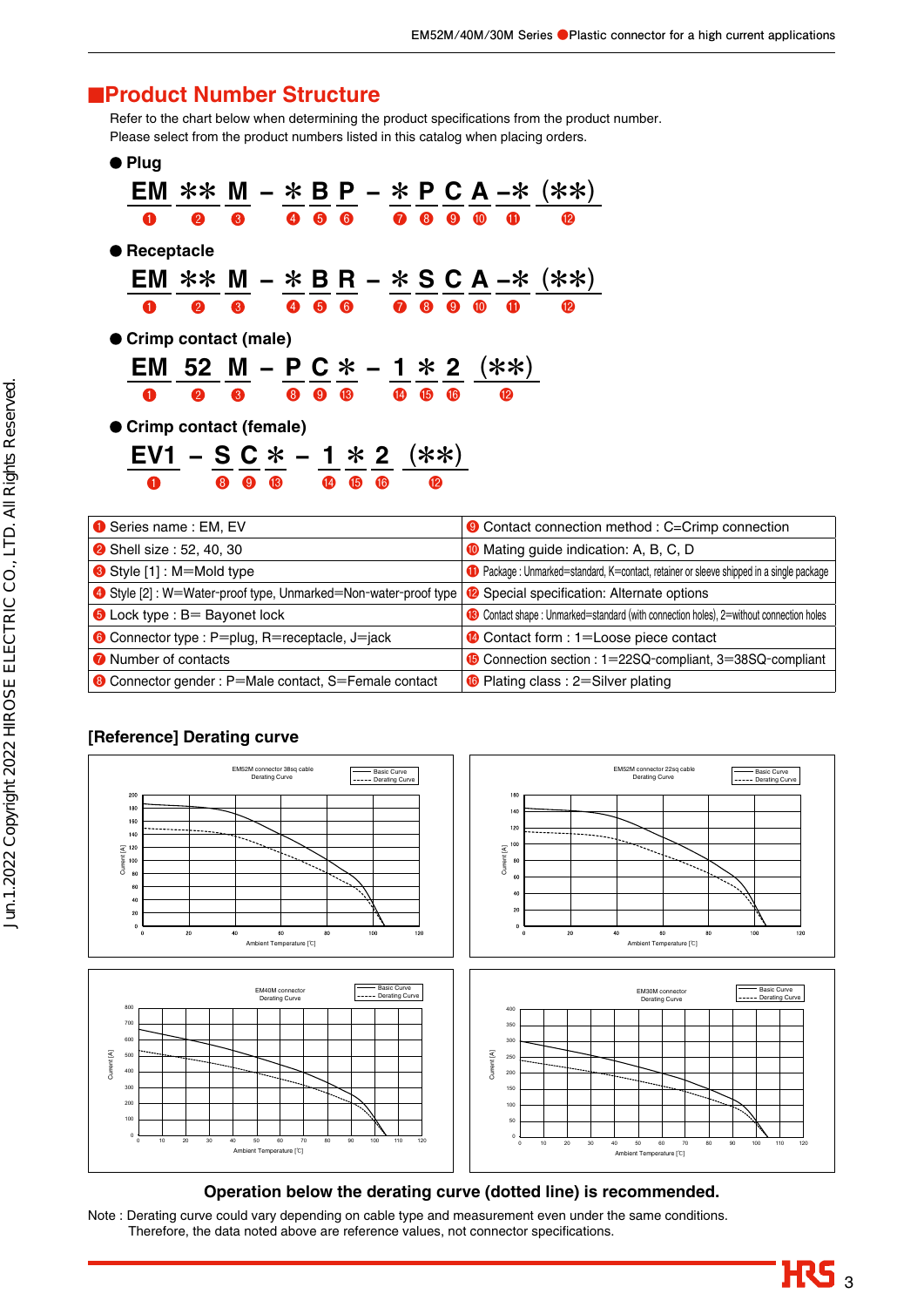## ■**Product Number Structure**

Refer to the chart below when determining the product specifications from the product number. Please select from the product numbers listed in this catalog when placing orders.

| Plug                     |                                      |   |            |              |        |    |                 |                |                       |           |              |                                          |
|--------------------------|--------------------------------------|---|------------|--------------|--------|----|-----------------|----------------|-----------------------|-----------|--------------|------------------------------------------|
|                          |                                      |   |            |              |        |    |                 |                |                       |           |              | EM ** M $-$ * B P $-$ * P C A $-$ * (**) |
| O                        | $\boldsymbol{Q}$                     | 8 |            |              | 4 6 6  |    |                 | $\mathbf{7}$ 8 | $\bullet$             | <b>10</b> | Œ            | $\mathbf{P}$                             |
| Receptacle               |                                      |   |            |              |        |    |                 |                |                       |           |              |                                          |
|                          |                                      |   |            |              |        |    |                 |                |                       |           |              | EM ** M – * B R – * S C A –* (**)        |
| O                        | $\boldsymbol{Q}$                     | 8 |            | 466          |        |    | $\bullet$       | $\bullet$      | $\boldsymbol{\Theta}$ | <b>10</b> | Œ            | <b>12</b>                                |
| ● Crimp contact (male)   |                                      |   |            |              |        |    |                 |                |                       |           |              |                                          |
|                          | EM 52 M – P C $*$ – 1 $*$ 2 ( $**$ ) |   |            |              |        |    |                 |                |                       |           |              |                                          |
| O                        | $\bullet$                            | 8 |            |              | 8 9 13 |    | $\overline{14}$ | $\bullet$      | $\overline{6}$        |           | $\mathbf{P}$ |                                          |
| ● Crimp contact (female) |                                      |   |            |              |        |    |                 |                |                       |           |              |                                          |
|                          | $EVI - S C * - 1 * 2$ (**)           |   |            |              |        |    |                 |                |                       |           |              |                                          |
|                          |                                      | 8 | $9 \t{13}$ | $\mathbf{A}$ | 15     | 16 |                 | <b>12</b>      |                       |           |              |                                          |
|                          |                                      |   |            |              |        |    |                 |                |                       |           |              |                                          |

| Series name : EM, EV                                            | Contact connection method: C=Crimp connection                                            |
|-----------------------------------------------------------------|------------------------------------------------------------------------------------------|
| <b>2</b> Shell size: 52, 40, 30                                 | <b>O</b> Mating guide indication: A, B, C, D                                             |
| Style [1] : M=Mold type                                         | C Package : Unmarked=standard, K=contact, retainer or sleeve shipped in a single package |
| 4 Style [2] : W=Water-proof type, Unmarked=Non-water-proof type | <sup>2</sup> Special specification: Alternate options                                    |
| $\bullet$ Lock type : B= Bayonet lock                           | Contact shape: Unmarked=standard (with connection holes), 2=without connection holes     |
| <b>6</b> Connector type : P=plug, R=receptacle, J=jack          | Contact form : 1=Loose piece contact                                                     |
| <b>O</b> Number of contacts                                     | Connection section : 1=22SQ-compliant, 3=38SQ-compliant                                  |
| Connector gender : P=Male contact, S=Female contact             | <b>6</b> Plating class : 2=Silver plating                                                |

#### **[Reference] Derating curve**



#### **Operation below the derating curve (dotted line) is recommended.**

Note : Derating curve could vary depending on cable type and measurement even under the same conditions. Therefore, the data noted above are reference values, not connector specifications.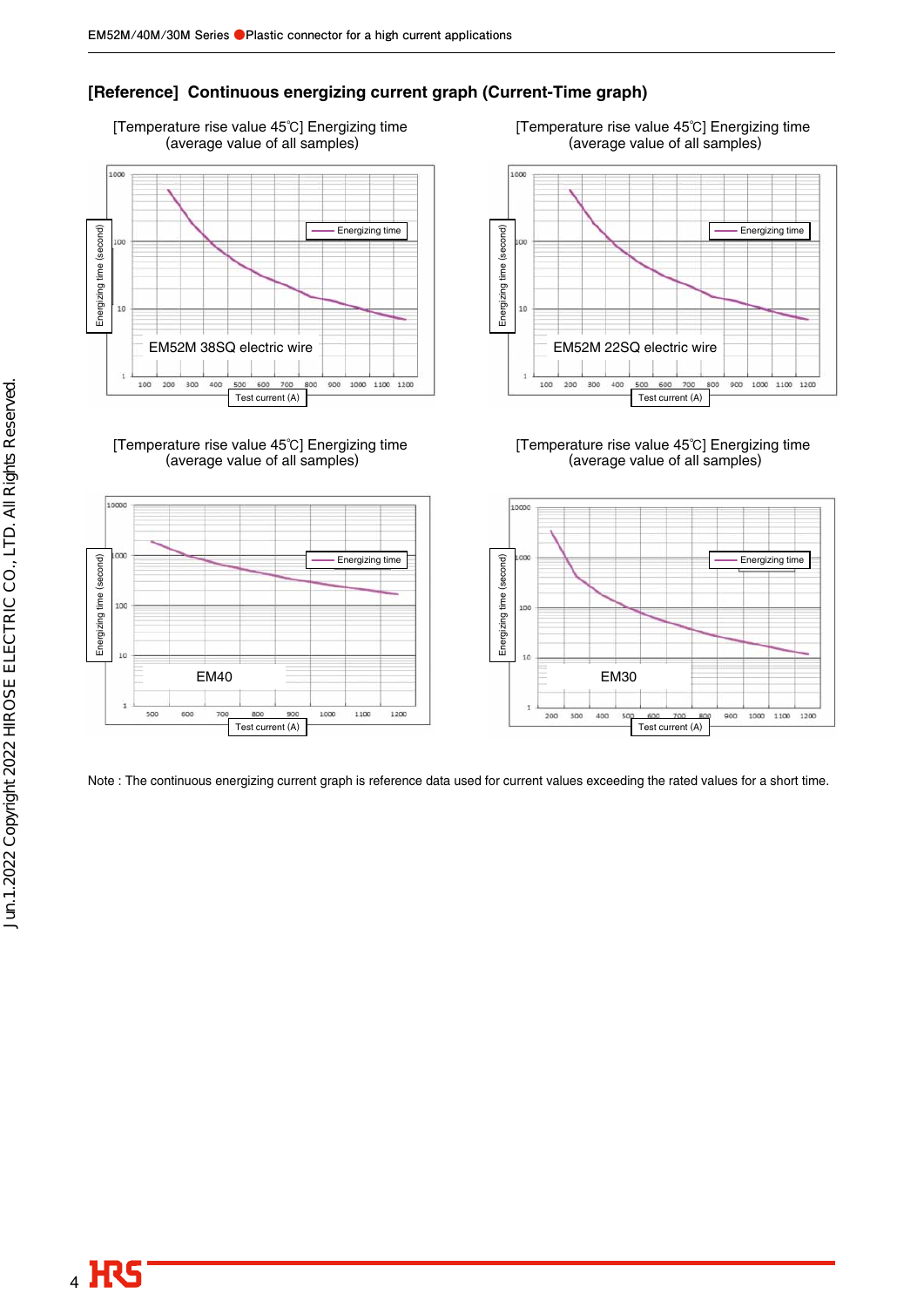### **[Reference] Continuous energizing current graph (Current-Time graph)**





[Temperature rise value 45℃] Energizing time (average value of all samples)



[Temperature rise value 45℃] Energizing time (average value of all samples)



Note : The continuous energizing current graph is reference data used for current values exceeding the rated values for a short time.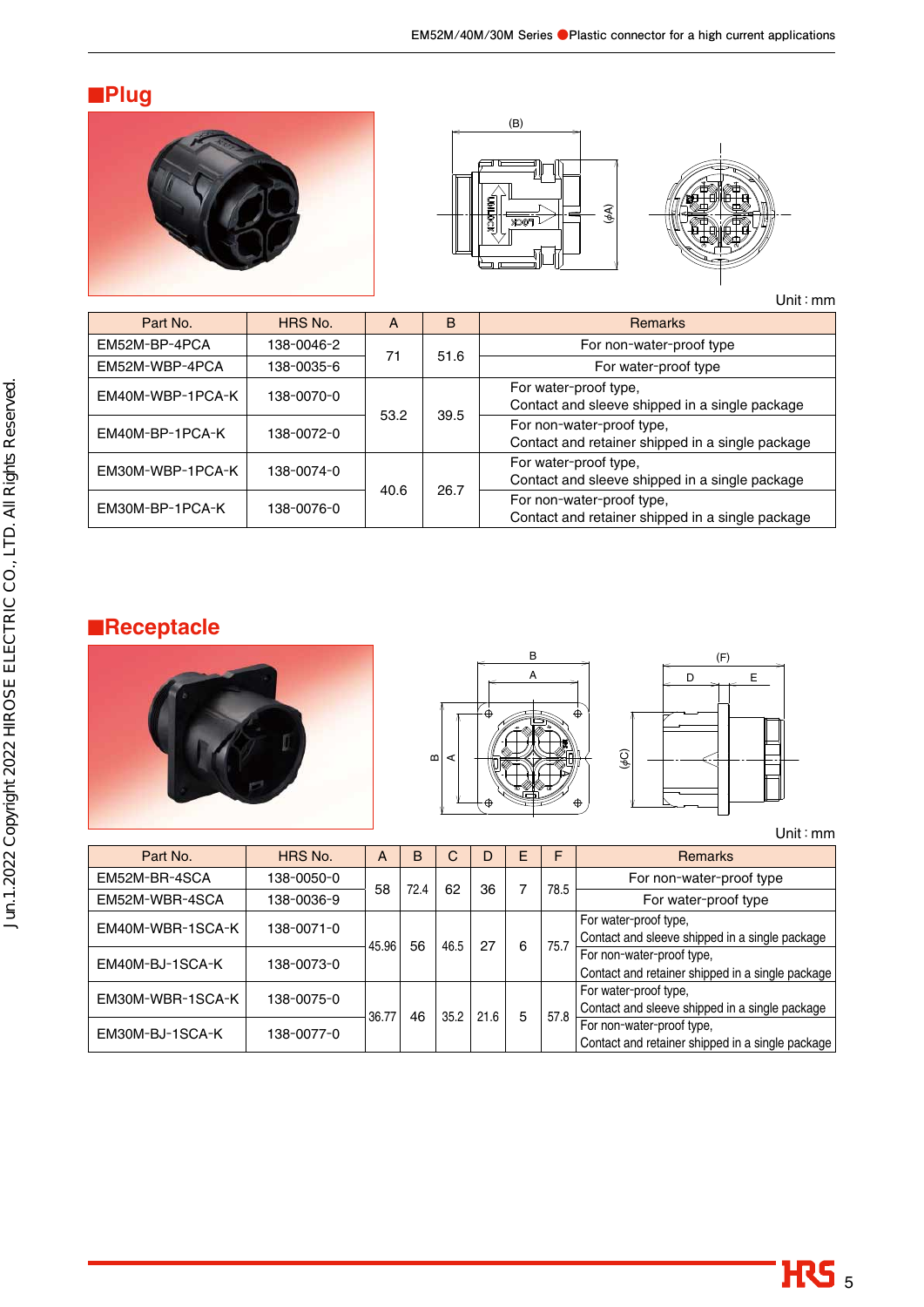# ■**Plug**







Unit:mm

| Part No.         | HRS No.    | A    | B    | <b>Remarks</b>                                                                |
|------------------|------------|------|------|-------------------------------------------------------------------------------|
| EM52M-BP-4PCA    | 138-0046-2 | 71   | 51.6 | For non-water-proof type                                                      |
| EM52M-WBP-4PCA   | 138-0035-6 |      |      | For water-proof type                                                          |
| EM40M-WBP-1PCA-K | 138-0070-0 | 53.2 | 39.5 | For water-proof type,<br>Contact and sleeve shipped in a single package       |
| EM40M-BP-1PCA-K  | 138-0072-0 |      |      | For non-water-proof type,<br>Contact and retainer shipped in a single package |
| EM30M-WBP-1PCA-K | 138-0074-0 | 40.6 | 26.7 | For water-proof type,<br>Contact and sleeve shipped in a single package       |
| EM30M-BP-1PCA-K  | 138-0076-0 |      |      | For non-water-proof type,<br>Contact and retainer shipped in a single package |

# ■**Receptacle**





Unit:mm

| Part No.         | HRS No.    | A     | B    | C    | D    | E | F    | <b>Remarks</b>                                   |
|------------------|------------|-------|------|------|------|---|------|--------------------------------------------------|
| EM52M-BR-4SCA    | 138-0050-0 | 58    | 72.4 | 62   | 36   |   | 78.5 | For non-water-proof type                         |
| EM52M-WBR-4SCA   | 138-0036-9 |       |      |      |      |   |      | For water-proof type                             |
| EM40M-WBR-1SCA-K | 138-0071-0 |       |      |      | 27   |   |      | For water-proof type,                            |
|                  |            | 45.96 | 56   | 46.5 |      | 6 | 75.7 | Contact and sleeve shipped in a single package   |
| EM40M-BJ-1SCA-K  | 138-0073-0 |       |      |      |      |   |      | For non-water-proof type,                        |
|                  |            |       |      |      |      |   |      | Contact and retainer shipped in a single package |
| EM30M-WBR-1SCA-K | 138-0075-0 |       | 46   | 35.2 | 21.6 |   |      | For water-proof type,                            |
|                  |            | 36.77 |      |      |      | 5 | 57.8 | Contact and sleeve shipped in a single package   |
| EM30M-BJ-1SCA-K  | 138-0077-0 |       |      |      |      |   |      | For non-water-proof type,                        |
|                  |            |       |      |      |      |   |      | Contact and retainer shipped in a single package |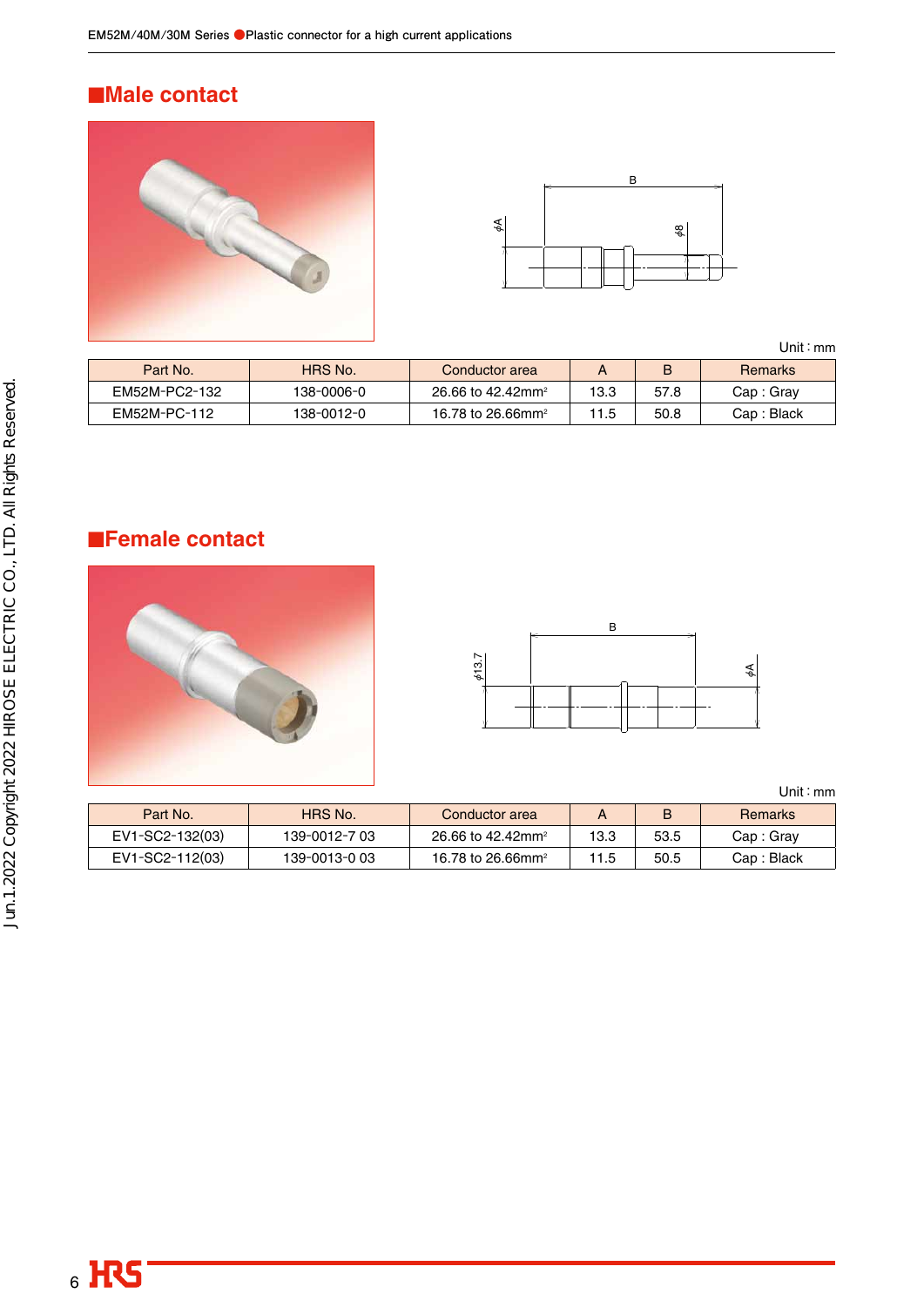## ■**Male contact**





Unit:mm

| Part No.      | HRS No.    | Conductor area                |      |      | Remarks     |
|---------------|------------|-------------------------------|------|------|-------------|
| EM52M-PC2-132 | 138-0006-0 | 26.66 to 42.42mm <sup>2</sup> | 13.3 | 57.8 | Cap : Grav  |
| EM52M-PC-112  | 138-0012-0 | 16.78 to 26.66mm <sup>2</sup> |      | 50.8 | Cap : Black |

## ■**Female contact**





Unit:mm

| Part No.        | HRS No.       | Conductor area                |      | B    | <b>Remarks</b> |
|-----------------|---------------|-------------------------------|------|------|----------------|
| EV1-SC2-132(03) | 139-0012-7 03 | 26.66 to 42.42mm <sup>2</sup> | 13.3 | 53.5 | Cap: Gray      |
| EV1-SC2-112(03) | 139-0013-0 03 | 16.78 to 26.66mm <sup>2</sup> | 11.5 | 50.5 | Cap: Black     |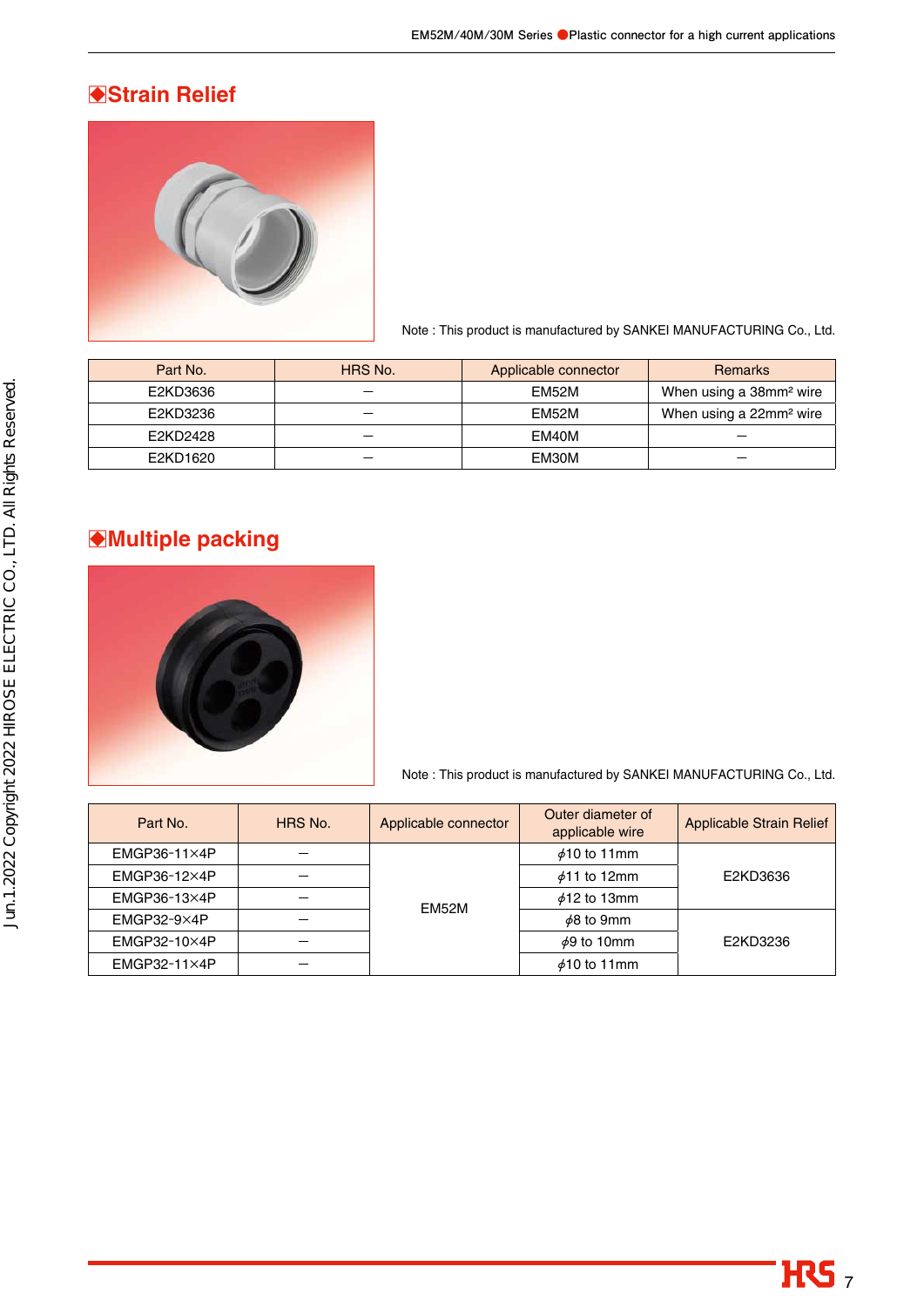## □**Strain Relief**



Note : This product is manufactured by SANKEI MANUFACTURING Co., Ltd.

| Part No. | HRS No. | Applicable connector | <b>Remarks</b>                      |
|----------|---------|----------------------|-------------------------------------|
| E2KD3636 |         | EM52M                | When using a 38mm <sup>2</sup> wire |
| E2KD3236 | --      | EM52M                | When using a 22mm <sup>2</sup> wire |
| E2KD2428 |         | EM40M                |                                     |
| E2KD1620 |         | EM30M                |                                     |

## □**Multiple packing**



Note : This product is manufactured by SANKEI MANUFACTURING Co., Ltd.

| Part No.            | HRS No. | Applicable connector | Outer diameter of<br>applicable wire | <b>Applicable Strain Relief</b> |  |  |
|---------------------|---------|----------------------|--------------------------------------|---------------------------------|--|--|
| $EMGP36-11\times4P$ |         |                      | $\phi$ 10 to 11mm                    |                                 |  |  |
| $EMGP36-12\times4P$ |         |                      | $\phi$ 11 to 12mm                    | E2KD3636                        |  |  |
| $EMGP36-13\times4P$ |         | <b>EM52M</b>         | $\phi$ 12 to 13mm                    |                                 |  |  |
| $EMGP32-9\times4P$  |         |                      | $\phi$ 8 to 9mm                      |                                 |  |  |
| $EMGP32-10\times4P$ |         |                      | $\phi$ 9 to 10mm                     | E2KD3236                        |  |  |
| $EMGP32-11\times4P$ |         |                      | $\phi$ 10 to 11mm                    |                                 |  |  |